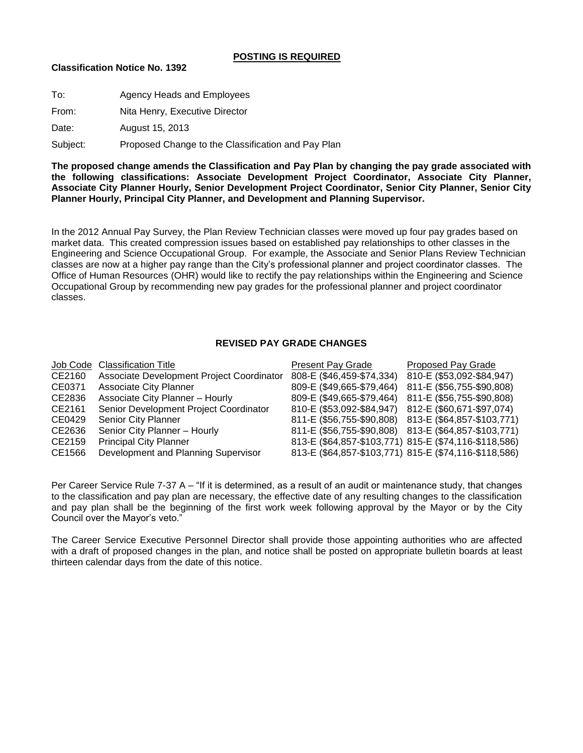## **POSTING IS REQUIRED**

## **Classification Notice No. 1392**

| Agency Heads and Employees                         |  |
|----------------------------------------------------|--|
| Nita Henry, Executive Director                     |  |
| August 15, 2013                                    |  |
| Proposed Change to the Classification and Pay Plan |  |
|                                                    |  |

**The proposed change amends the Classification and Pay Plan by changing the pay grade associated with the following classifications: Associate Development Project Coordinator, Associate City Planner, Associate City Planner Hourly, Senior Development Project Coordinator, Senior City Planner, Senior City Planner Hourly, Principal City Planner, and Development and Planning Supervisor.**

In the 2012 Annual Pay Survey, the Plan Review Technician classes were moved up four pay grades based on market data. This created compression issues based on established pay relationships to other classes in the Engineering and Science Occupational Group. For example, the Associate and Senior Plans Review Technician classes are now at a higher pay range than the City's professional planner and project coordinator classes. The Office of Human Resources (OHR) would like to rectify the pay relationships within the Engineering and Science Occupational Group by recommending new pay grades for the professional planner and project coordinator classes.

## **REVISED PAY GRADE CHANGES**

| Job Code Classification Title             | <b>Present Pay Grade</b>  | Proposed Pay Grade                                    |
|-------------------------------------------|---------------------------|-------------------------------------------------------|
| Associate Development Project Coordinator | 808-E (\$46,459-\$74,334) | 810-E (\$53,092-\$84,947)                             |
| Associate City Planner                    | 809-E (\$49,665-\$79,464) | 811-E (\$56,755-\$90,808)                             |
| Associate City Planner - Hourly           | 809-E (\$49,665-\$79,464) | 811-E (\$56,755-\$90,808)                             |
| Senior Development Project Coordinator    | 810-E (\$53,092-\$84,947) | 812-E (\$60,671-\$97,074)                             |
| <b>Senior City Planner</b>                | 811-E (\$56,755-\$90,808) | 813-E (\$64,857-\$103,771)                            |
| Senior City Planner - Hourly              |                           | 811-E (\$56,755-\$90,808) 813-E (\$64,857-\$103,771)  |
| <b>Principal City Planner</b>             |                           | 813-E (\$64,857-\$103,771) 815-E (\$74,116-\$118,586) |
| Development and Planning Supervisor       |                           | 813-E (\$64,857-\$103,771) 815-E (\$74,116-\$118,586) |
|                                           |                           |                                                       |

Per Career Service Rule 7-37 A – "If it is determined, as a result of an audit or maintenance study, that changes to the classification and pay plan are necessary, the effective date of any resulting changes to the classification and pay plan shall be the beginning of the first work week following approval by the Mayor or by the City Council over the Mayor's veto."

The Career Service Executive Personnel Director shall provide those appointing authorities who are affected with a draft of proposed changes in the plan, and notice shall be posted on appropriate bulletin boards at least thirteen calendar days from the date of this notice.